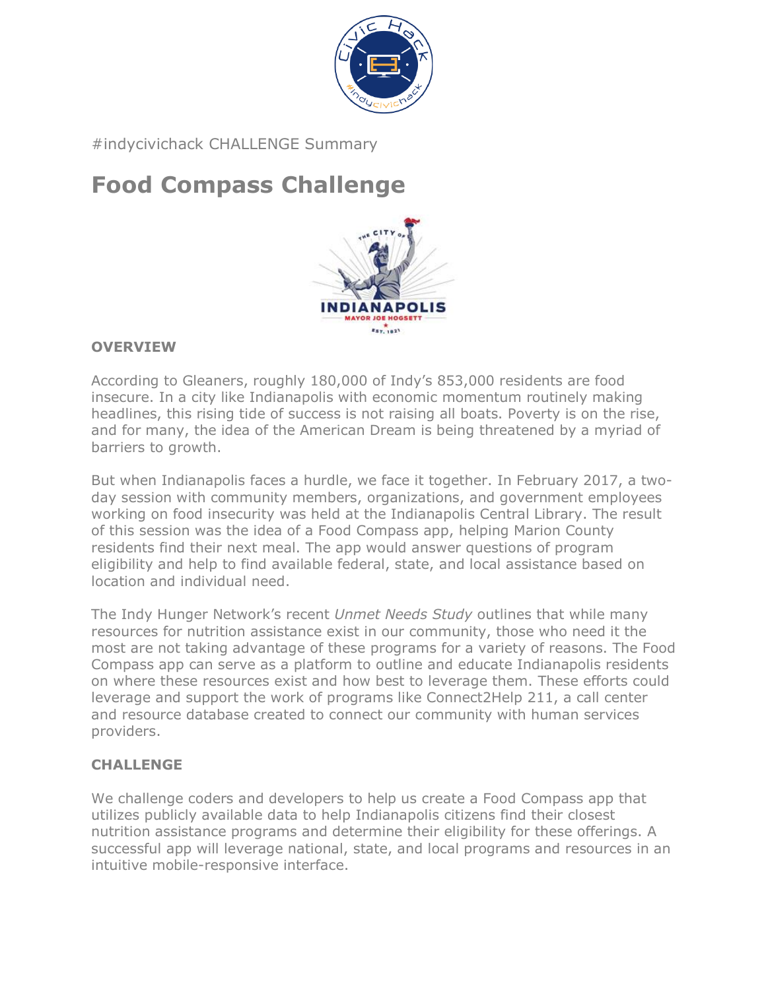

#indycivichack CHALLENGE Summary

# **Food Compass Challenge**



# **OVERVIEW**

According to Gleaners, roughly 180,000 of Indy's 853,000 residents are food insecure. In a city like Indianapolis with economic momentum routinely making headlines, this rising tide of success is not raising all boats. Poverty is on the rise, and for many, the idea of the American Dream is being threatened by a myriad of barriers to growth.

But when Indianapolis faces a hurdle, we face it together. In February 2017, a twoday session with community members, organizations, and government employees working on food insecurity was held at the Indianapolis Central Library. The result of this session was the idea of a Food Compass app, helping Marion County residents find their next meal. The app would answer questions of program eligibility and help to find available federal, state, and local assistance based on location and individual need.

The Indy Hunger Network's recent *Unmet Needs Study* outlines that while many resources for nutrition assistance exist in our community, those who need it the most are not taking advantage of these programs for a variety of reasons. The Food Compass app can serve as a platform to outline and educate Indianapolis residents on where these resources exist and how best to leverage them. These efforts could leverage and support the work of programs like Connect2Help 211, a call center and resource database created to connect our community with human services providers.

## **CHALLENGE**

We challenge coders and developers to help us create a Food Compass app that utilizes publicly available data to help Indianapolis citizens find their closest nutrition assistance programs and determine their eligibility for these offerings. A successful app will leverage national, state, and local programs and resources in an intuitive mobile-responsive interface.